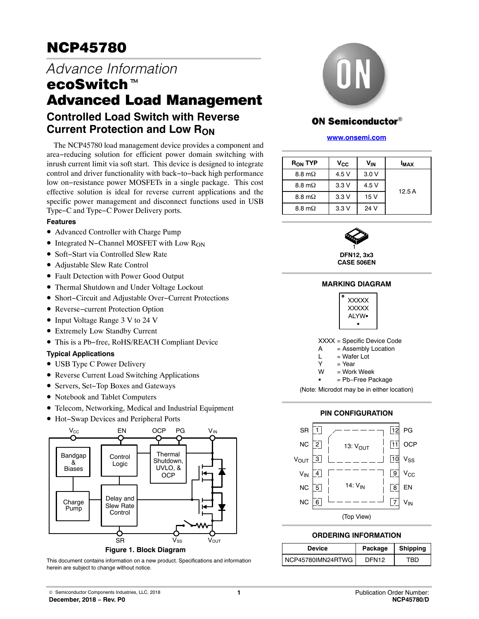# NCP45780

# *Advance Information* <u>ecoses</u><br>Advance Inform<br>ecoSwitch™ Advanced Load Management **Controlled Load Switch with Reverse**

The NCP45780 load management device provides a component and area−reducing solution for efficient power domain switching with inrush current limit via soft start. This device is designed to integrate control and driver functionality with back−to−back high performance low on−resistance power MOSFETs in a single package. This cost effective solution is ideal for reverse current applications and the specific power management and disconnect functions used in USB

## **Features**

• Advanced Controller with Charge Pump

Type−C and Type−C Power Delivery ports.

• Integrated N–Channel MOSFET with Low R<sub>ON</sub>

**Current Protection and Low RON** 

- Soft−Start via Controlled Slew Rate
- Adjustable Slew Rate Control
- Fault Detection with Power Good Output
- Thermal Shutdown and Under Voltage Lockout
- Short−Circuit and Adjustable Over−Current Protections
- Reverse−current Protection Option
- Input Voltage Range 3 V to 24 V
- Extremely Low Standby Current
- This is a Pb−free, RoHS/REACH Compliant Device

## **Typical Applications**

- USB Type C Power Delivery
- Reverse Current Load Switching Applications
- Servers, Set−Top Boxes and Gateways
- Notebook and Tablet Computers
- Telecom, Networking, Medical and Industrial Equipment
- Hot−Swap Devices and Peripheral Ports



**Figure 1. Block Diagram**

This document contains information on a new product. Specifications and information herein are subject to change without notice.



## **ON Semiconductor®**

### **[www.onsemi.com]( http://www.onsemi.com/)**

| $R_{ON}$ TYP   | $V_{\rm CC}$ | $V_{\text{IN}}$ | <b>I<sub>MAX</sub></b> |
|----------------|--------------|-----------------|------------------------|
| 8.8 m $\Omega$ | 4.5 V        | 3.0V            |                        |
| 8.8 m $\Omega$ | 3.3V         | 4.5 V           | 12.5A                  |
| 8.8 m $\Omega$ | 3.3V         | 15V             |                        |
| 8.8 m $\Omega$ | 3.3V         | 24 V            |                        |



**DFN12, 3x3 CASE 506EN**

## **MARKING DIAGRAM**



|  |  | XXXX = Specific Device Code |  |  |  |  |
|--|--|-----------------------------|--|--|--|--|
|--|--|-----------------------------|--|--|--|--|

- A = Assembly Location
- $L = Water Lot$  $Y = Y_{\text{par}}$ 
	- $=$  Work Week

W<sub>w</sub>

= Pb−Free Package

(Note: Microdot may be in either location)





## **ORDERING INFORMATION**

| <b>Device</b>     | Package           | <b>Shipping</b> |  |
|-------------------|-------------------|-----------------|--|
| NCP45780IMN24RTWG | DFN <sub>12</sub> | FBD.            |  |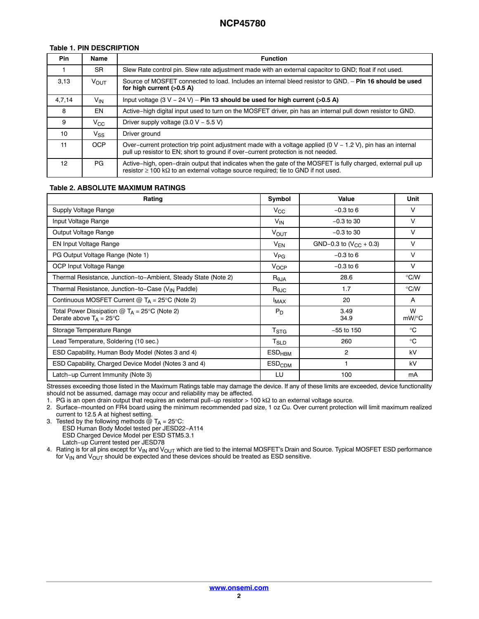## **Table 1. PIN DESCRIPTION**

| <b>Pin</b> | <b>Name</b>  | <b>Function</b>                                                                                                                                                                                                |
|------------|--------------|----------------------------------------------------------------------------------------------------------------------------------------------------------------------------------------------------------------|
|            | <b>SR</b>    | Slew Rate control pin. Slew rate adjustment made with an external capacitor to GND; float if not used.                                                                                                         |
| 3.13       | <b>VOUT</b>  | Source of MOSFET connected to load. Includes an internal bleed resistor to GND. - Pin 16 should be used<br>for high current (>0.5 A)                                                                           |
| 4,7,14     | $V_{IN}$     | Input voltage $(3 V - 24 V) - P$ in 13 should be used for high current (>0.5 A)                                                                                                                                |
| 8          | EN           | Active-high digital input used to turn on the MOSFET driver, pin has an internal pull down resistor to GND.                                                                                                    |
| 9          | $V_{\rm CC}$ | Driver supply voltage $(3.0 V - 5.5 V)$                                                                                                                                                                        |
| 10         | Vss.         | Driver ground                                                                                                                                                                                                  |
| 11         | <b>OCP</b>   | Over-current protection trip point adjustment made with a voltage applied $(0 V - 1.2 V)$ , pin has an internal<br>pull up resistor to EN; short to ground if over-current protection is not needed.           |
| 12         | PG.          | Active–high, open–drain output that indicates when the gate of the MOSFET is fully charged, external pull up<br>resistor $\geq$ 100 k $\Omega$ to an external voltage source required; tie to GND if not used. |

## **Table 2. ABSOLUTE MAXIMUM RATINGS**

| Rating                                                                             | Symbol                         | Value                       | Unit          |
|------------------------------------------------------------------------------------|--------------------------------|-----------------------------|---------------|
| Supply Voltage Range                                                               | $V_{\rm CC}$                   | $-0.3$ to 6                 | V             |
| Input Voltage Range                                                                | $V_{IN}$                       | $-0.3$ to 30                | $\vee$        |
| Output Voltage Range                                                               | $V_{\text{OUT}}$               | $-0.3$ to 30                | V             |
| <b>EN Input Voltage Range</b>                                                      | $V_{EN}$                       | GND-0.3 to $(V_{CC} + 0.3)$ | $\vee$        |
| PG Output Voltage Range (Note 1)                                                   | $V_{PG}$                       | $-0.3$ to 6                 | V             |
| OCP Input Voltage Range                                                            | $V_{OCP}$                      | $-0.3$ to 6                 | $\vee$        |
| Thermal Resistance, Junction-to-Ambient, Steady State (Note 2)                     | $R_{\theta$ JA                 | 28.6                        | $\degree$ C/W |
| Thermal Resistance, Junction-to-Case (V <sub>IN</sub> Paddle)                      | $\mathsf{R}_{\theta\text{JC}}$ | 1.7                         | $\degree$ C/W |
| Continuous MOSFET Current $@T_A = 25^\circ C$ (Note 2)                             |                                | 20                          | A             |
| Total Power Dissipation $@T_A = 25°C$ (Note 2)<br>Derate above $T_A = 25^{\circ}C$ |                                | 3.49<br>34.9                | W<br>mW/°C    |
| Storage Temperature Range                                                          |                                | $-55$ to 150                | $^{\circ}$ C  |
| Lead Temperature, Soldering (10 sec.)                                              | T <sub>SLD</sub>               | 260                         | $^{\circ}$ C  |
| ESD Capability, Human Body Model (Notes 3 and 4)                                   | $ESD_{HBM}$                    | $\overline{c}$              | kV            |
| ESD Capability, Charged Device Model (Notes 3 and 4)                               |                                | 1                           | kV            |
| Latch-up Current Immunity (Note 3)                                                 | LU                             | 100                         | mA            |

Stresses exceeding those listed in the Maximum Ratings table may damage the device. If any of these limits are exceeded, device functionality should not be assumed, damage may occur and reliability may be affected.

1. PG is an open drain output that requires an external pull−up resistor > 100 kΩ to an external voltage source.

2. Surface−mounted on FR4 board using the minimum recommended pad size, 1 oz Cu. Over current protection will limit maximum realized current to 12.5 A at highest setting.

3. Tested by the following methods @ T<sub>A</sub> = 25°C:<br>ESD Human Body Model tested per JESD22–A114 ESD Charged Device Model per ESD STM5.3.1 Latch−up Current tested per JESD78

4. Rating is for all pins except for V<sub>IN</sub> and V<sub>OUT</sub> which are tied to the internal MOSFET's Drain and Source. Typical MOSFET ESD performance for V<sub>IN</sub> and V<sub>OUT</sub> should be expected and these devices should be treated as ESD sensitive.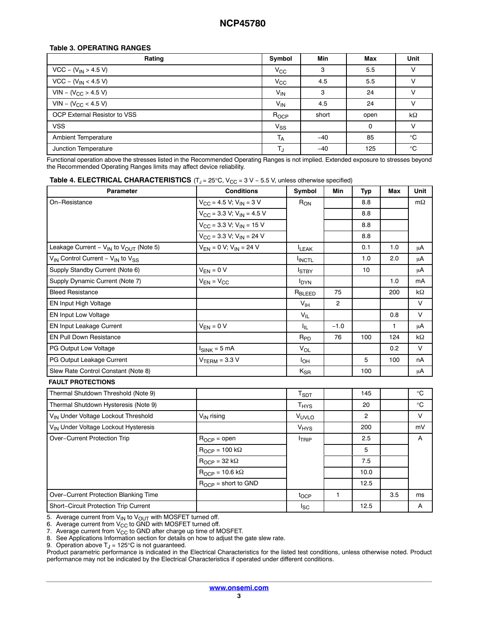## **Table 3. OPERATING RANGES**

| Rating                       | Symbol           | <b>Min</b> | Max  | Unit         |
|------------------------------|------------------|------------|------|--------------|
| $VCC - (V_{IN} > 4.5 V)$     | $V_{\rm CC}$     | з          | 5.5  |              |
| $VCC - (V_{IN} < 4.5 V)$     | $V_{\rm CC}$     | 4.5        | 5.5  |              |
| $VIN - (V_{CC} > 4.5 V)$     | $V_{IN}$         | 3          | 24   |              |
| $VIN - (V_{CC} < 4.5 V)$     | $V_{IN}$         | 4.5        | 24   |              |
| OCP External Resistor to VSS | R <sub>OCP</sub> | short      | open | $k\Omega$    |
| <b>VSS</b>                   | $V_{SS}$         |            | 0    |              |
| <b>Ambient Temperature</b>   | T <sub>A</sub>   | $-40$      | 85   | $^{\circ}$ C |
| Junction Temperature         | TJ               | $-40$      | 125  | $^{\circ}C$  |

Functional operation above the stresses listed in the Recommended Operating Ranges is not implied. Extended exposure to stresses beyond the Recommended Operating Ranges limits may affect device reliability.

| <b>Parameter</b>                                                     | <b>Conditions</b>                                             | Symbol                  | <b>Min</b>     | <b>Typ</b>     | <b>Max</b> | Unit         |
|----------------------------------------------------------------------|---------------------------------------------------------------|-------------------------|----------------|----------------|------------|--------------|
| On-Resistance                                                        | $V_{\text{CC}} = 4.5 \text{ V}; V_{\text{IN}} = 3 \text{ V}$  | $R_{ON}$                |                | 8.8            |            | $m\Omega$    |
|                                                                      | $V_{CG}$ = 3.3 V; $V_{IN}$ = 4.5 V                            |                         |                | 8.8            |            |              |
|                                                                      | $V_{\text{CC}} = 3.3 \text{ V}; V_{\text{IN}} = 15 \text{ V}$ |                         |                | 8.8            |            |              |
|                                                                      | $V_{CC}$ = 3.3 V; V <sub>IN</sub> = 24 V                      |                         |                | 8.8            |            |              |
| Leakage Current - V <sub>IN</sub> to V <sub>OUT</sub> (Note 5)       | $V_{EN} = 0 V; V_{IN} = 24 V$                                 | <b>ILEAK</b>            |                | 0.1            | 1.0        | μA           |
| V <sub>IN</sub> Control Current - V <sub>IN</sub> to V <sub>SS</sub> |                                                               | <b>INCTL</b>            |                | 1.0            | 2.0        | μA           |
| Supply Standby Current (Note 6)                                      | $V_{EN} = 0 V$                                                | <b>I</b> STBY           |                | 10             |            | μA           |
| Supply Dynamic Current (Note 7)                                      | $V_{EN} = V_{CC}$                                             | <b>I</b> <sub>DYN</sub> |                |                | 1.0        | mA           |
| <b>Bleed Resistance</b>                                              |                                                               | R <sub>BLEED</sub>      | 75             |                | 200        | kΩ           |
| EN Input High Voltage                                                |                                                               | V <sub>IH</sub>         | $\overline{2}$ |                |            | $\vee$       |
| <b>EN Input Low Voltage</b>                                          |                                                               | $V_{IL}$                |                |                | 0.8        | $\vee$       |
| <b>EN Input Leakage Current</b>                                      | $V_{EN} = 0 V$                                                | Ι'n.                    | $-1.0$         |                | 1          | μA           |
| <b>EN Pull Down Resistance</b>                                       |                                                               | $R_{PD}$                | 76             | 100            | 124        | $k\Omega$    |
| PG Output Low Voltage                                                | $I_{SINK} = 5 mA$                                             | $V_{OL}$                |                |                | 0.2        | V            |
| PG Output Leakage Current                                            | $VTERM = 3.3 V$                                               | I <sub>OH</sub>         |                | 5              | 100        | nA           |
| Slew Rate Control Constant (Note 8)                                  |                                                               | $K_{\text{SR}}$         |                | 100            |            | μA           |
| <b>FAULT PROTECTIONS</b>                                             |                                                               |                         |                |                |            |              |
| Thermal Shutdown Threshold (Note 9)                                  |                                                               | T <sub>SDT</sub>        |                | 145            |            | $^{\circ}$ C |
| Thermal Shutdown Hysteresis (Note 9)                                 |                                                               | T <sub>HYS</sub>        |                | 20             |            | $^{\circ}C$  |
| VIN Under Voltage Lockout Threshold                                  | V <sub>IN</sub> rising                                        | VUVLO                   |                | $\overline{2}$ |            | $\vee$       |
| V <sub>IN</sub> Under Voltage Lockout Hysteresis                     |                                                               | <b>V<sub>HYS</sub></b>  |                | 200            |            | mV           |
| Over-Current Protection Trip                                         | $R_{OCP} =$ open                                              | <b>ITRIP</b>            |                | 2.5            |            | Α            |
|                                                                      | $R_{OCP} = 100 k\Omega$                                       |                         |                | 5              |            |              |
|                                                                      | $R_{OCP} = 32 k\Omega$                                        |                         |                | 7.5            |            |              |
|                                                                      | $R_{OCP} = 10.6 k\Omega$                                      |                         |                | 10.0           |            |              |
|                                                                      | $R_{OCP}$ = short to GND                                      |                         |                | 12.5           |            |              |
| Over-Current Protection Blanking Time                                |                                                               | tocp                    | $\mathbf{1}$   |                | 3.5        | ms           |
| Short-Circuit Protection Trip Current                                |                                                               | $I_{SC}$                |                | 12.5           |            | A            |

5. Average current from V<sub>IN</sub> to V<sub>OUT</sub> with MOSFET turned off.

6. Average current from  $\mathsf{V}_{\mathsf{CC}}$  to GND with MOSFET turned off.

7. Average current from  $V_{CC}$  to GND after charge up time of MOSFET.

8. See Applications Information section for details on how to adjust the gate slew rate.

9. Operation above  $T_J = 125^{\circ}$ C is not guaranteed.

Product parametric performance is indicated in the Electrical Characteristics for the listed test conditions, unless otherwise noted. Product performance may not be indicated by the Electrical Characteristics if operated under different conditions.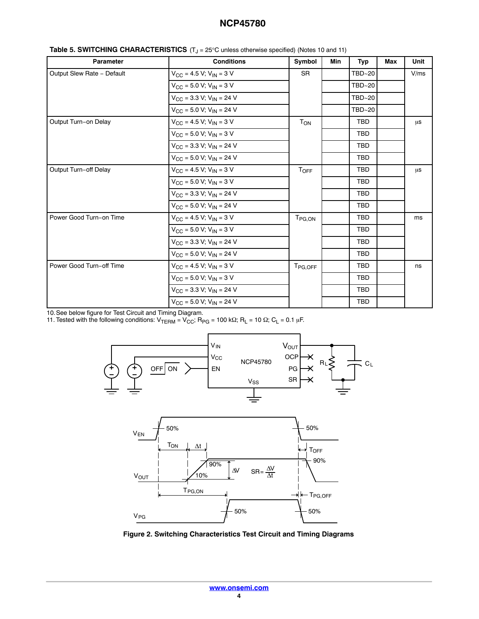## **NCP45780**

| <b>Parameter</b>           | <b>Conditions</b>                                             | Symbol                | Min | <b>Typ</b> | Max | Unit |
|----------------------------|---------------------------------------------------------------|-----------------------|-----|------------|-----|------|
| Output Slew Rate - Default | $V_{\text{CC}} = 4.5 V$ ; $V_{\text{IN}} = 3 V$               | <b>SR</b>             |     | TBD~20     |     | V/ms |
|                            | $V_{CC}$ = 5.0 V; V <sub>IN</sub> = 3 V                       |                       |     | TBD~20     |     |      |
|                            | $V_{CC}$ = 3.3 V; V <sub>IN</sub> = 24 V                      |                       |     | TBD~20     |     |      |
|                            | $V_{CC}$ = 5.0 V; V <sub>IN</sub> = 24 V                      |                       |     | TBD~20     |     |      |
| Output Turn-on Delay       | $V_{\text{CC}} = 4.5 V$ ; $V_{\text{IN}} = 3 V$               | <b>T<sub>ON</sub></b> |     | <b>TBD</b> |     | μs   |
|                            | $V_{\text{CC}}$ = 5.0 V; V <sub>IN</sub> = 3 V                |                       |     | <b>TBD</b> |     |      |
|                            | $V_{\text{CC}} = 3.3 \text{ V}; V_{\text{IN}} = 24 \text{ V}$ |                       |     | <b>TBD</b> |     |      |
|                            | $V_{CC}$ = 5.0 V; V <sub>IN</sub> = 24 V                      |                       |     | <b>TBD</b> |     |      |
| Output Turn-off Delay      | $V_{\text{CC}} = 4.5 \text{ V}; V_{\text{IN}} = 3 \text{ V}$  | $T_{OFF}$             |     | <b>TBD</b> |     | μs   |
|                            | $V_{CC}$ = 5.0 V; V <sub>IN</sub> = 3 V                       |                       |     | <b>TBD</b> |     |      |
|                            | $V_{\text{CC}}$ = 3.3 V; V <sub>IN</sub> = 24 V               |                       |     | <b>TBD</b> |     |      |
|                            | $V_{CC}$ = 5.0 V; V <sub>IN</sub> = 24 V                      |                       |     | <b>TBD</b> |     |      |
| Power Good Turn-on Time    | $V_{CG}$ = 4.5 V; V <sub>IN</sub> = 3 V                       | $T_{PG,ON}$           |     | <b>TBD</b> |     | ms   |
|                            | $V_{CC}$ = 5.0 V; V <sub>IN</sub> = 3 V                       |                       |     | <b>TBD</b> |     |      |
|                            | $V_{CC}$ = 3.3 V; V <sub>IN</sub> = 24 V                      |                       |     | <b>TBD</b> |     |      |
|                            | $V_{CC}$ = 5.0 V; V <sub>IN</sub> = 24 V                      |                       |     | <b>TBD</b> |     |      |
| Power Good Turn-off Time   | $V_{\text{CC}}$ = 4.5 V; V <sub>IN</sub> = 3 V                | T <sub>PG, OFF</sub>  |     | <b>TBD</b> |     | ns   |
|                            | $V_{CC}$ = 5.0 V; V <sub>IN</sub> = 3 V                       |                       |     | <b>TBD</b> |     |      |
|                            | $V_{CC}$ = 3.3 V; V <sub>IN</sub> = 24 V                      |                       |     | <b>TBD</b> |     |      |
|                            | $V_{CC}$ = 5.0 V; V <sub>IN</sub> = 24 V                      |                       |     | <b>TBD</b> |     |      |

| Table 5. SWITCHING CHARACTERISTICS (T <sub>J</sub> = 25°C unless otherwise specified) (Notes 10 and 11) |  |
|---------------------------------------------------------------------------------------------------------|--|
|---------------------------------------------------------------------------------------------------------|--|

10.See below figure for Test Circuit and Timing Diagram.

11. Tested with the following conditions:  $V_{\text{TERM}} = V_{\text{CC}}$ ; R<sub>PG</sub> = 100 k $\Omega$ ; R<sub>L</sub> = 10  $\Omega$ ; C<sub>L</sub> = 0.1 µF.





**Figure 2. Switching Characteristics Test Circuit and Timing Diagrams**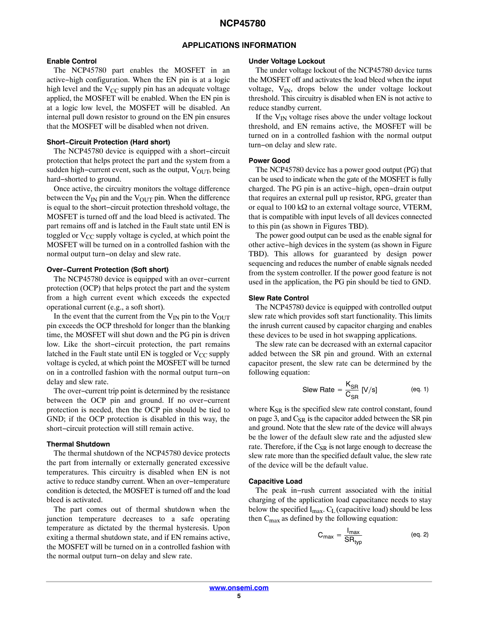### **APPLICATIONS INFORMATION**

## **Enable Control**

The NCP45780 part enables the MOSFET in an active−high configuration. When the EN pin is at a logic high level and the  $V_{CC}$  supply pin has an adequate voltage applied, the MOSFET will be enabled. When the EN pin is at a logic low level, the MOSFET will be disabled. An internal pull down resistor to ground on the EN pin ensures that the MOSFET will be disabled when not driven.

#### **Short−Circuit Protection (Hard short)**

The NCP45780 device is equipped with a short−circuit protection that helps protect the part and the system from a sudden high-current event, such as the output, V<sub>OUT</sub>, being hard−shorted to ground.

Once active, the circuitry monitors the voltage difference between the  $V_{IN}$  pin and the  $V_{OUT}$  pin. When the difference is equal to the short−circuit protection threshold voltage, the MOSFET is turned off and the load bleed is activated. The part remains off and is latched in the Fault state until EN is toggled or  $V_{CC}$  supply voltage is cycled, at which point the MOSFET will be turned on in a controlled fashion with the normal output turn−on delay and slew rate.

#### **Over−Current Protection (Soft short)**

The NCP45780 device is equipped with an over−current protection (OCP) that helps protect the part and the system from a high current event which exceeds the expected operational current (e.g., a soft short).

In the event that the current from the  $V_{IN}$  pin to the  $V_{OUT}$ pin exceeds the OCP threshold for longer than the blanking time, the MOSFET will shut down and the PG pin is driven low. Like the short−circuit protection, the part remains latched in the Fault state until EN is toggled or  $V_{CC}$  supply voltage is cycled, at which point the MOSFET will be turned on in a controlled fashion with the normal output turn−on delay and slew rate.

The over−current trip point is determined by the resistance between the OCP pin and ground. If no over−current protection is needed, then the OCP pin should be tied to GND; if the OCP protection is disabled in this way, the short−circuit protection will still remain active.

#### **Thermal Shutdown**

The thermal shutdown of the NCP45780 device protects the part from internally or externally generated excessive temperatures. This circuitry is disabled when EN is not active to reduce standby current. When an over−temperature condition is detected, the MOSFET is turned off and the load bleed is activated.

The part comes out of thermal shutdown when the junction temperature decreases to a safe operating temperature as dictated by the thermal hysteresis. Upon exiting a thermal shutdown state, and if EN remains active, the MOSFET will be turned on in a controlled fashion with the normal output turn−on delay and slew rate.

#### **Under Voltage Lockout**

The under voltage lockout of the NCP45780 device turns the MOSFET off and activates the load bleed when the input voltage,  $V_{IN}$ , drops below the under voltage lockout threshold. This circuitry is disabled when EN is not active to reduce standby current.

If the  $V_{IN}$  voltage rises above the under voltage lockout threshold, and EN remains active, the MOSFET will be turned on in a controlled fashion with the normal output turn−on delay and slew rate.

#### **Power Good**

The NCP45780 device has a power good output (PG) that can be used to indicate when the gate of the MOSFET is fully charged. The PG pin is an active−high, open−drain output that requires an external pull up resistor, RPG, greater than or equal to 100 k $\Omega$  to an external voltage source, VTERM, that is compatible with input levels of all devices connected to this pin (as shown in Figures TBD).

The power good output can be used as the enable signal for other active−high devices in the system (as shown in Figure TBD). This allows for guaranteed by design power sequencing and reduces the number of enable signals needed from the system controller. If the power good feature is not used in the application, the PG pin should be tied to GND.

#### **Slew Rate Control**

The NCP45780 device is equipped with controlled output slew rate which provides soft start functionality. This limits the inrush current caused by capacitor charging and enables these devices to be used in hot swapping applications.

The slew rate can be decreased with an external capacitor added between the SR pin and ground. With an external capacitor present, the slew rate can be determined by the following equation:

Slew Rate = 
$$
\frac{K_{\text{SR}}}{C_{\text{SR}}}
$$
 [V/s] (eq. 1)

where K<sub>SR</sub> is the specified slew rate control constant, found on page 3, and  $C_{SR}$  is the capacitor added between the SR pin and ground. Note that the slew rate of the device will always be the lower of the default slew rate and the adjusted slew rate. Therefore, if the  $C_{SR}$  is not large enough to decrease the slew rate more than the specified default value, the slew rate of the device will be the default value.

#### **Capacitive Load**

The peak in−rush current associated with the initial charging of the application load capacitance needs to stay below the specified  $I_{\text{max}}$ . C<sub>L</sub> (capacitive load) should be less then  $C_{\text{max}}$  as defined by the following equation:

$$
C_{max} = \frac{I_{max}}{SR_{typ}}
$$
 (eq. 2)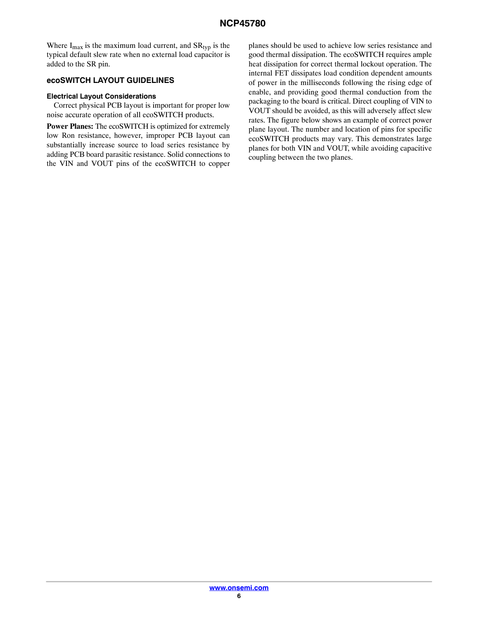Where  $I_{max}$  is the maximum load current, and  $SR_{typ}$  is the typical default slew rate when no external load capacitor is added to the SR pin.

## **ecoSWITCH LAYOUT GUIDELINES**

## **Electrical Layout Considerations**

Correct physical PCB layout is important for proper low noise accurate operation of all ecoSWITCH products.

**Power Planes:** The ecoSWITCH is optimized for extremely low Ron resistance, however, improper PCB layout can substantially increase source to load series resistance by adding PCB board parasitic resistance. Solid connections to the VIN and VOUT pins of the ecoSWITCH to copper planes should be used to achieve low series resistance and good thermal dissipation. The ecoSWITCH requires ample heat dissipation for correct thermal lockout operation. The internal FET dissipates load condition dependent amounts of power in the milliseconds following the rising edge of enable, and providing good thermal conduction from the packaging to the board is critical. Direct coupling of VIN to VOUT should be avoided, as this will adversely affect slew rates. The figure below shows an example of correct power plane layout. The number and location of pins for specific ecoSWITCH products may vary. This demonstrates large planes for both VIN and VOUT, while avoiding capacitive coupling between the two planes.